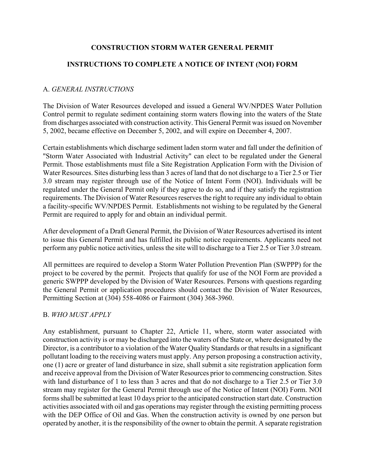## **CONSTRUCTION STORM WATER GENERAL PERMIT**

# **INSTRUCTIONS TO COMPLETE A NOTICE OF INTENT (NOI) FORM**

## A. *GENERAL INSTRUCTIONS*

The Division of Water Resources developed and issued a General WV/NPDES Water Pollution Control permit to regulate sediment containing storm waters flowing into the waters of the State from discharges associated with construction activity. This General Permit was issued on November 5, 2002, became effective on December 5, 2002, and will expire on December 4, 2007.

Certain establishments which discharge sediment laden storm water and fall under the definition of "Storm Water Associated with Industrial Activity" can elect to be regulated under the General Permit. Those establishments must file a Site Registration Application Form with the Division of Water Resources. Sites disturbing less than 3 acres of land that do not discharge to a Tier 2.5 or Tier 3.0 stream may register through use of the Notice of Intent Form (NOI). Individuals will be regulated under the General Permit only if they agree to do so, and if they satisfy the registration requirements. The Division of Water Resources reserves the right to require any individual to obtain a facility-specific WV/NPDES Permit. Establishments not wishing to be regulated by the General Permit are required to apply for and obtain an individual permit.

After development of a Draft General Permit, the Division of Water Resources advertised its intent to issue this General Permit and has fulfilled its public notice requirements. Applicants need not perform any public notice activities, unless the site will to discharge to a Tier 2.5 or Tier 3.0 stream.

All permittees are required to develop a Storm Water Pollution Prevention Plan (SWPPP) for the project to be covered by the permit. Projects that qualify for use of the NOI Form are provided a generic SWPPP developed by the Division of Water Resources. Persons with questions regarding the General Permit or application procedures should contact the Division of Water Resources, Permitting Section at (304) 558-4086 or Fairmont (304) 368-3960.

### B. *WHO MUST APPLY*

Any establishment, pursuant to Chapter 22, Article 11, where, storm water associated with construction activity is or may be discharged into the waters of the State or, where designated by the Director, is a contributor to a violation of the Water Quality Standards or that results in a significant pollutant loading to the receiving waters must apply. Any person proposing a construction activity, one (1) acre or greater of land disturbance in size, shall submit a site registration application form and receive approval from the Division of Water Resources prior to commencing construction. Sites with land disturbance of 1 to less than 3 acres and that do not discharge to a Tier 2.5 or Tier 3.0 stream may register for the General Permit through use of the Notice of Intent (NOI) Form. NOI forms shall be submitted at least 10 days prior to the anticipated construction start date. Construction activities associated with oil and gas operations may register through the existing permitting process with the DEP Office of Oil and Gas. When the construction activity is owned by one person but operated by another, it is the responsibility of the owner to obtain the permit. A separate registration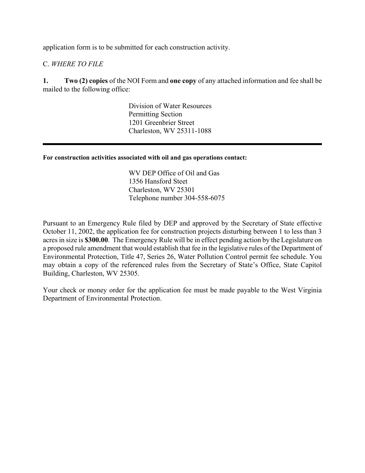application form is to be submitted for each construction activity.

## C. *WHERE TO FILE*

**1. Two (2) copies** of the NOI Form and **one copy** of any attached information and fee shall be mailed to the following office:

> Division of Water Resources Permitting Section 1201 Greenbrier Street Charleston, WV 25311-1088

#### **For construction activities associated with oil and gas operations contact:**

WV DEP Office of Oil and Gas 1356 Hansford Steet Charleston, WV 25301 Telephone number 304-558-6075

Pursuant to an Emergency Rule filed by DEP and approved by the Secretary of State effective October 11, 2002, the application fee for construction projects disturbing between 1 to less than 3 acres in size is **\$300.00**. The Emergency Rule will be in effect pending action by the Legislature on a proposed rule amendment that would establish that fee in the legislative rules of the Department of Environmental Protection, Title 47, Series 26, Water Pollution Control permit fee schedule. You may obtain a copy of the referenced rules from the Secretary of State's Office, State Capitol Building, Charleston, WV 25305.

Your check or money order for the application fee must be made payable to the West Virginia Department of Environmental Protection.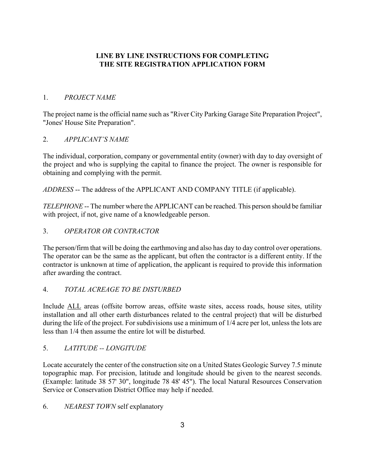## **LINE BY LINE INSTRUCTIONS FOR COMPLETING THE SITE REGISTRATION APPLICATION FORM**

#### 1. *PROJECT NAME*

The project name is the official name such as "River City Parking Garage Site Preparation Project", "Jones' House Site Preparation".

#### 2. *APPLICANT'S NAME*

The individual, corporation, company or governmental entity (owner) with day to day oversight of the project and who is supplying the capital to finance the project. The owner is responsible for obtaining and complying with the permit.

*ADDRESS* -- The address of the APPLICANT AND COMPANY TITLE (if applicable).

*TELEPHONE* -- The number where the APPLICANT can be reached. This person should be familiar with project, if not, give name of a knowledgeable person.

### 3. *OPERATOR OR CONTRACTOR*

The person/firm that will be doing the earthmoving and also has day to day control over operations. The operator can be the same as the applicant, but often the contractor is a different entity. If the contractor is unknown at time of application, the applicant is required to provide this information after awarding the contract.

### 4. *TOTAL ACREAGE TO BE DISTURBED*

Include ALL areas (offsite borrow areas, offsite waste sites, access roads, house sites, utility installation and all other earth disturbances related to the central project) that will be disturbed during the life of the project. For subdivisions use a minimum of 1/4 acre per lot, unless the lots are less than 1/4 then assume the entire lot will be disturbed.

### 5. *LATITUDE -- LONGITUDE*

Locate accurately the center of the construction site on a United States Geologic Survey 7.5 minute topographic map. For precision, latitude and longitude should be given to the nearest seconds. (Example: latitude 38 57' 30", longitude 78 48' 45"). The local Natural Resources Conservation Service or Conservation District Office may help if needed.

### 6. *NEAREST TOWN* self explanatory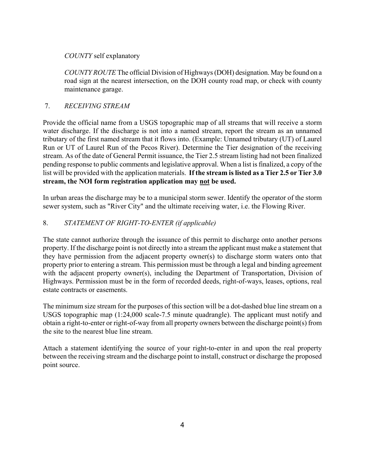#### *COUNTY* self explanatory

*COUNTY ROUTE* The official Division of Highways (DOH) designation. May be found on a road sign at the nearest intersection, on the DOH county road map, or check with county maintenance garage.

#### 7. *RECEIVING STREAM*

Provide the official name from a USGS topographic map of all streams that will receive a storm water discharge. If the discharge is not into a named stream, report the stream as an unnamed tributary of the first named stream that it flows into. (Example: Unnamed tributary (UT) of Laurel Run or UT of Laurel Run of the Pecos River). Determine the Tier designation of the receiving stream. As of the date of General Permit issuance, the Tier 2.5 stream listing had not been finalized pending response to public comments and legislative approval. When a list is finalized, a copy of the list will be provided with the application materials. **If the stream is listed as a Tier 2.5 or Tier 3.0 stream, the NOI form registration application may not be used.** 

In urban areas the discharge may be to a municipal storm sewer. Identify the operator of the storm sewer system, such as "River City" and the ultimate receiving water, i.e. the Flowing River.

### 8. *STATEMENT OF RIGHT-TO-ENTER (if applicable)*

The state cannot authorize through the issuance of this permit to discharge onto another persons property. If the discharge point is not directly into a stream the applicant must make a statement that they have permission from the adjacent property owner(s) to discharge storm waters onto that property prior to entering a stream. This permission must be through a legal and binding agreement with the adjacent property owner(s), including the Department of Transportation, Division of Highways. Permission must be in the form of recorded deeds, right-of-ways, leases, options, real estate contracts or easements.

The minimum size stream for the purposes of this section will be a dot-dashed blue line stream on a USGS topographic map (1:24,000 scale-7.5 minute quadrangle). The applicant must notify and obtain a right-to-enter or right-of-way from all property owners between the discharge point(s) from the site to the nearest blue line stream.

Attach a statement identifying the source of your right-to-enter in and upon the real property between the receiving stream and the discharge point to install, construct or discharge the proposed point source.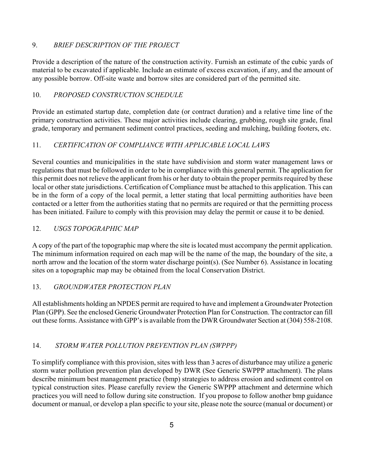## 9. *BRIEF DESCRIPTION OF THE PROJECT*

Provide a description of the nature of the construction activity. Furnish an estimate of the cubic yards of material to be excavated if applicable. Include an estimate of excess excavation, if any, and the amount of any possible borrow. Off-site waste and borrow sites are considered part of the permitted site.

# 10. *PROPOSED CONSTRUCTION SCHEDULE*

Provide an estimated startup date, completion date (or contract duration) and a relative time line of the primary construction activities. These major activities include clearing, grubbing, rough site grade, final grade, temporary and permanent sediment control practices, seeding and mulching, building footers, etc.

# 11. *CERTIFICATION OF COMPLIANCE WITH APPLICABLE LOCAL LAWS*

Several counties and municipalities in the state have subdivision and storm water management laws or regulations that must be followed in order to be in compliance with this general permit. The application for this permit does not relieve the applicant from his or her duty to obtain the proper permits required by these local or other state jurisdictions. Certification of Compliance must be attached to this application. This can be in the form of a copy of the local permit, a letter stating that local permitting authorities have been contacted or a letter from the authorities stating that no permits are required or that the permitting process has been initiated. Failure to comply with this provision may delay the permit or cause it to be denied.

# 12. *USGS TOPOGRAPHIC MAP*

A copy of the part of the topographic map where the site is located must accompany the permit application. The minimum information required on each map will be the name of the map, the boundary of the site, a north arrow and the location of the storm water discharge point(s). (See Number 6). Assistance in locating sites on a topographic map may be obtained from the local Conservation District.

### 13. *GROUNDWATER PROTECTION PLAN*

All establishments holding an NPDES permit are required to have and implement a Groundwater Protection Plan (GPP). See the enclosed Generic Groundwater Protection Plan for Construction. The contractor can fill out these forms. Assistance with GPP's is available from the DWR Groundwater Section at (304) 558-2108.

# 14. *STORM WATER POLLUTION PREVENTION PLAN (SWPPP)*

To simplify compliance with this provision, sites with less than 3 acres of disturbance may utilize a generic storm water pollution prevention plan developed by DWR (See Generic SWPPP attachment). The plans describe minimum best management practice (bmp) strategies to address erosion and sediment control on typical construction sites. Please carefully review the Generic SWPPP attachment and determine which practices you will need to follow during site construction. If you propose to follow another bmp guidance document or manual, or develop a plan specific to your site, please note the source (manual or document) or